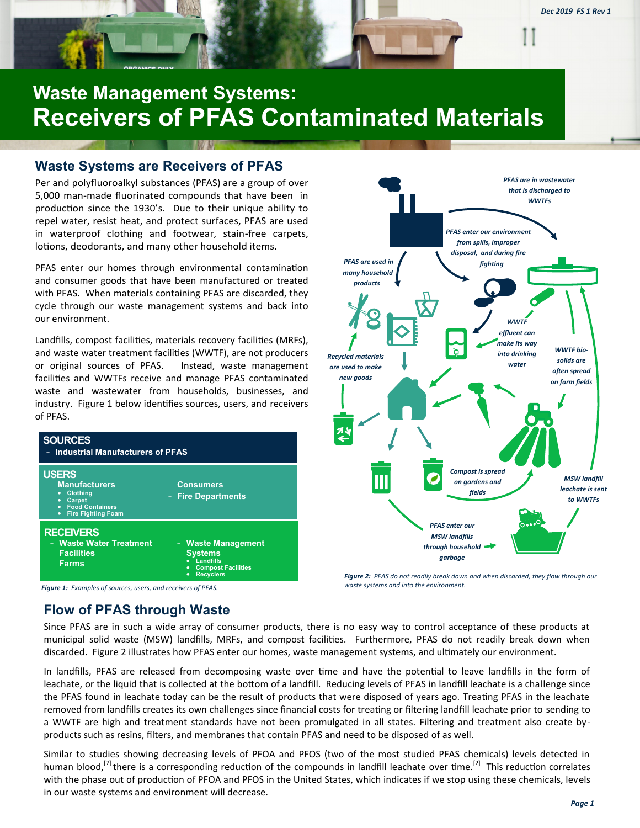

# **Waste Management Systems: Receivers of PFAS Contaminated Materials**

#### **Waste Systems are Receivers of PFAS**

Per and polyfluoroalkyl substances (PFAS) are a group of over 5,000 man-made fluorinated compounds that have been in production since the 1930's. Due to their unique ability to repel water, resist heat, and protect surfaces, PFAS are used in waterproof clothing and footwear, stain-free carpets, lotions, deodorants, and many other household items.

PFAS enter our homes through environmental contamination and consumer goods that have been manufactured or treated with PFAS. When materials containing PFAS are discarded, they cycle through our waste management systems and back into our environment.

Landfills, compost facilities, materials recovery facilities (MRFs), and waste water treatment facilities (WWTF), are not producers or original sources of PFAS. Instead, waste management facilities and WWTFs receive and manage PFAS contaminated waste and wastewater from households, businesses, and industry. Figure 1 below identifies sources, users, and receivers of PFAS.





*Figure 2: PFAS do not readily break down and when discarded, they flow through our waste systems and into the environment.* 

*Figure 1: Examples of sources, users, and receivers of PFAS.* 

## **Flow of PFAS through Waste**

Since PFAS are in such a wide array of consumer products, there is no easy way to control acceptance of these products at municipal solid waste (MSW) landfills, MRFs, and compost facilities. Furthermore, PFAS do not readily break down when discarded. Figure 2 illustrates how PFAS enter our homes, waste management systems, and ultimately our environment.

In landfills, PFAS are released from decomposing waste over time and have the potential to leave landfills in the form of leachate, or the liquid that is collected at the bottom of a landfill. Reducing levels of PFAS in landfill leachate is a challenge since the PFAS found in leachate today can be the result of products that were disposed of years ago. Treating PFAS in the leachate removed from landfills creates its own challenges since financial costs for treating or filtering landfill leachate prior to sending to a WWTF are high and treatment standards have not been promulgated in all states. Filtering and treatment also create byproducts such as resins, filters, and membranes that contain PFAS and need to be disposed of as well.

Similar to studies showing decreasing levels of PFOA and PFOS (two of the most studied PFAS chemicals) levels detected in human blood,<sup>[7]</sup> there is a corresponding reduction of the compounds in landfill leachate over time.<sup>[2]</sup> This reduction correlates with the phase out of production of PFOA and PFOS in the United States, which indicates if we stop using these chemicals, levels in our waste systems and environment will decrease.